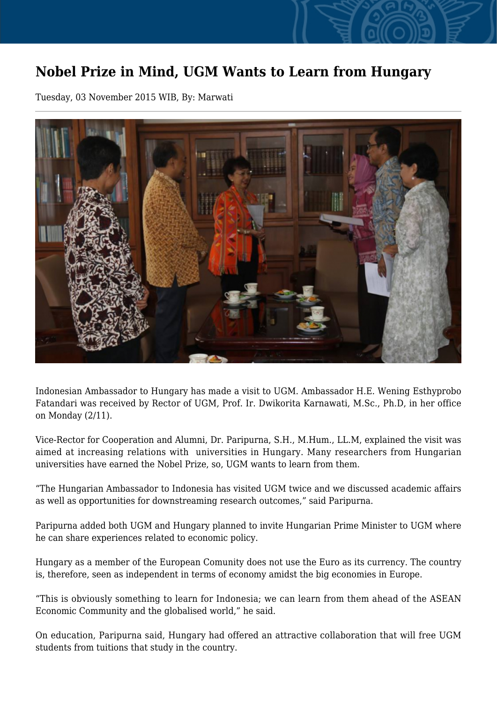## **Nobel Prize in Mind, UGM Wants to Learn from Hungary**

Tuesday, 03 November 2015 WIB, By: Marwati



Indonesian Ambassador to Hungary has made a visit to UGM. Ambassador H.E. Wening Esthyprobo Fatandari was received by Rector of UGM, Prof. Ir. Dwikorita Karnawati, M.Sc., Ph.D, in her office on Monday (2/11).

Vice-Rector for Cooperation and Alumni, Dr. Paripurna, S.H., M.Hum., LL.M, explained the visit was aimed at increasing relations with universities in Hungary. Many researchers from Hungarian universities have earned the Nobel Prize, so, UGM wants to learn from them.

"The Hungarian Ambassador to Indonesia has visited UGM twice and we discussed academic affairs as well as opportunities for downstreaming research outcomes," said Paripurna.

Paripurna added both UGM and Hungary planned to invite Hungarian Prime Minister to UGM where he can share experiences related to economic policy.

Hungary as a member of the European Comunity does not use the Euro as its currency. The country is, therefore, seen as independent in terms of economy amidst the big economies in Europe.

"This is obviously something to learn for Indonesia; we can learn from them ahead of the ASEAN Economic Community and the globalised world," he said.

On education, Paripurna said, Hungary had offered an attractive collaboration that will free UGM students from tuitions that study in the country.